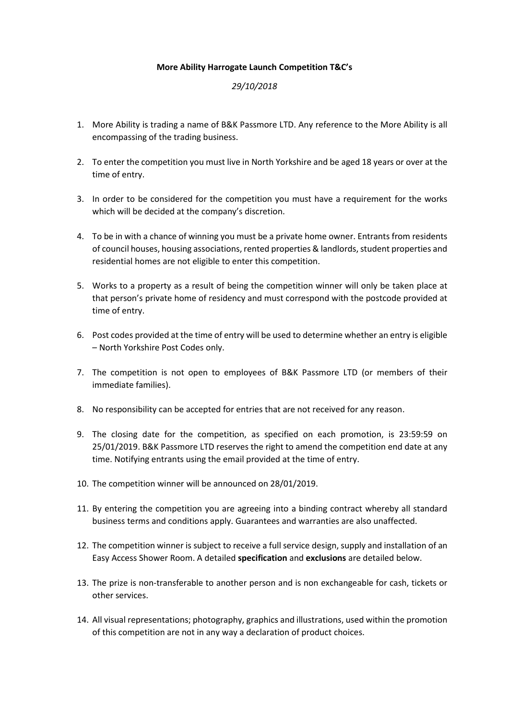## **More Ability Harrogate Launch Competition T&C's**

## *29/10/2018*

- 1. More Ability is trading a name of B&K Passmore LTD. Any reference to the More Ability is all encompassing of the trading business.
- 2. To enter the competition you must live in North Yorkshire and be aged 18 years or over at the time of entry.
- 3. In order to be considered for the competition you must have a requirement for the works which will be decided at the company's discretion.
- 4. To be in with a chance of winning you must be a private home owner. Entrants from residents of council houses, housing associations, rented properties & landlords, student properties and residential homes are not eligible to enter this competition.
- 5. Works to a property as a result of being the competition winner will only be taken place at that person's private home of residency and must correspond with the postcode provided at time of entry.
- 6. Post codes provided at the time of entry will be used to determine whether an entry is eligible – North Yorkshire Post Codes only.
- 7. The competition is not open to employees of B&K Passmore LTD (or members of their immediate families).
- 8. No responsibility can be accepted for entries that are not received for any reason.
- 9. The closing date for the competition, as specified on each promotion, is 23:59:59 on 25/01/2019. B&K Passmore LTD reserves the right to amend the competition end date at any time. Notifying entrants using the email provided at the time of entry.
- 10. The competition winner will be announced on 28/01/2019.
- 11. By entering the competition you are agreeing into a binding contract whereby all standard business terms and conditions apply. Guarantees and warranties are also unaffected.
- 12. The competition winner is subject to receive a full service design, supply and installation of an Easy Access Shower Room. A detailed **specification** and **exclusions** are detailed below.
- 13. The prize is non-transferable to another person and is non exchangeable for cash, tickets or other services.
- 14. All visual representations; photography, graphics and illustrations, used within the promotion of this competition are not in any way a declaration of product choices.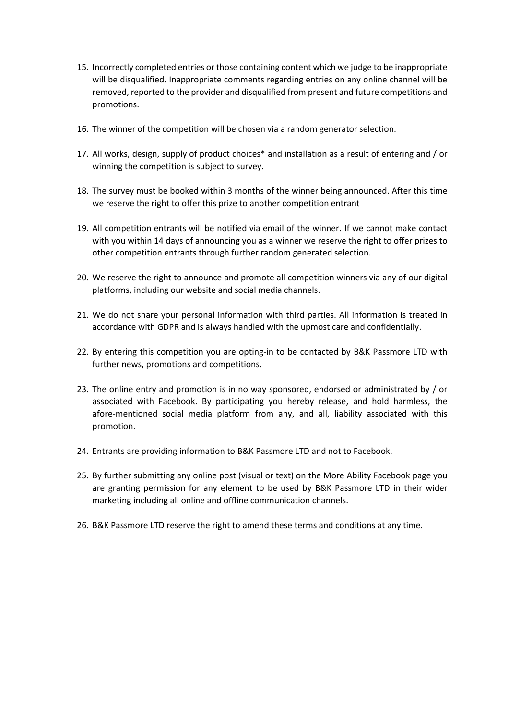- 15. Incorrectly completed entries or those containing content which we judge to be inappropriate will be disqualified. Inappropriate comments regarding entries on any online channel will be removed, reported to the provider and disqualified from present and future competitions and promotions.
- 16. The winner of the competition will be chosen via a random generator selection.
- 17. All works, design, supply of product choices\* and installation as a result of entering and / or winning the competition is subject to survey.
- 18. The survey must be booked within 3 months of the winner being announced. After this time we reserve the right to offer this prize to another competition entrant
- 19. All competition entrants will be notified via email of the winner. If we cannot make contact with you within 14 days of announcing you as a winner we reserve the right to offer prizes to other competition entrants through further random generated selection.
- 20. We reserve the right to announce and promote all competition winners via any of our digital platforms, including our website and social media channels.
- 21. We do not share your personal information with third parties. All information is treated in accordance with GDPR and is always handled with the upmost care and confidentially.
- 22. By entering this competition you are opting-in to be contacted by B&K Passmore LTD with further news, promotions and competitions.
- 23. The online entry and promotion is in no way sponsored, endorsed or administrated by / or associated with Facebook. By participating you hereby release, and hold harmless, the afore-mentioned social media platform from any, and all, liability associated with this promotion.
- 24. Entrants are providing information to B&K Passmore LTD and not to Facebook.
- 25. By further submitting any online post (visual or text) on the More Ability Facebook page you are granting permission for any element to be used by B&K Passmore LTD in their wider marketing including all online and offline communication channels.
- 26. B&K Passmore LTD reserve the right to amend these terms and conditions at any time.